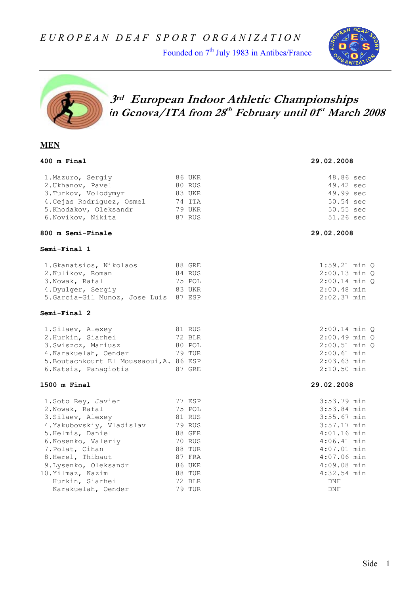Founded on 7<sup>th</sup> July 1983 in Antibes/France





## **3rd European Indoor Athletic Championships in Genova/ITA from 28th February until 01st March 2008**

#### **MEN**

|                                                                                                                             | 29.02.2008                                                                                                                                                                              |
|-----------------------------------------------------------------------------------------------------------------------------|-----------------------------------------------------------------------------------------------------------------------------------------------------------------------------------------|
| 86 UKR<br>80 RUS<br>83 UKR<br>74 ITA<br>79 UKR<br>87 RUS                                                                    | 48.86 sec<br>49.42 sec<br>49.99 sec<br>50.54 sec<br>50.55 sec<br>51.26 sec                                                                                                              |
|                                                                                                                             | 29.02.2008                                                                                                                                                                              |
|                                                                                                                             |                                                                                                                                                                                         |
| 88 GRE<br>84 RUS<br>75 POL<br>83 UKR<br>5.Garcia-Gil Munoz, Jose Luis 87 ESP                                                | $1:59.21$ min $Q$<br>$2:00.13$ min $O$<br>$2:00.14$ min Q<br>$2:00.48$ min<br>$2:02.37$ min                                                                                             |
|                                                                                                                             |                                                                                                                                                                                         |
| 81 RUS<br>72 BLR<br>80 POL<br>79 TUR<br>5. Boutachkourt El Moussaoui, A. 86 ESP<br>87 GRE                                   | $2:00.14$ min $O$<br>$2:00.49$ min Q<br>$2:00.51$ min $Q$<br>$2:00.61$ min<br>$2:03.63$ min<br>$2:10.50$ min                                                                            |
|                                                                                                                             | 29.02.2008                                                                                                                                                                              |
| 77 ESP<br>75 POL<br>81 RUS<br>79 RUS<br>88 GER<br><b>70 RUS</b><br>88 TUR<br>87 FRA<br>86 UKR<br>88 TUR<br>72 BLR<br>79 TUR | 3:53.79 min<br>3:53.84 min<br>$3:55.67$ min<br>$3:57.17$ min<br>$4:01.16$ min<br>$4:06.41$ min<br>$4:07.01$ min<br>$4:07.06$ min<br>$4:09.08$ min<br>$4:32.54$ min<br>DNF<br><b>DNF</b> |
|                                                                                                                             |                                                                                                                                                                                         |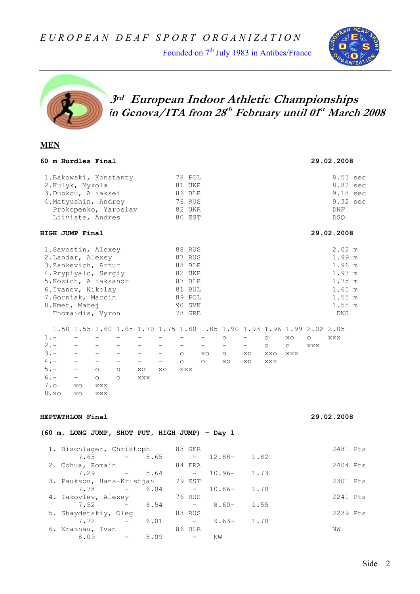Founded on 7<sup>th</sup> July 1983 in Antibes/France





 **3rd European Indoor Athletic Championships in Genova/ITA from 28th February until 01st March 2008** 

#### **MEN**

|                                                    |               |                                                           | 60 m Hurdles Final                                                                                                                                                              |                                                     |                                                                   |                                                                                                      |                                                                                   |                                                |                                                         |                                                      |                                       |                                                                                                           |                      |                | 29.02.2008                                                                                   |  |
|----------------------------------------------------|---------------|-----------------------------------------------------------|---------------------------------------------------------------------------------------------------------------------------------------------------------------------------------|-----------------------------------------------------|-------------------------------------------------------------------|------------------------------------------------------------------------------------------------------|-----------------------------------------------------------------------------------|------------------------------------------------|---------------------------------------------------------|------------------------------------------------------|---------------------------------------|-----------------------------------------------------------------------------------------------------------|----------------------|----------------|----------------------------------------------------------------------------------------------|--|
|                                                    |               | 2.Kulyk, Mykola                                           | 1. Bakowski, Konstanty<br>3. Dubkou, Aliaksei<br>4. Matyushin, Andrey<br>Prokopenko, Yaroslav<br>Liiviste, Andres                                                               |                                                     |                                                                   |                                                                                                      | 78 POL<br>76 RUS<br>80 EST                                                        | 81 UKR<br>86 BLR<br>82 UKR                     |                                                         |                                                      |                                       |                                                                                                           |                      |                | 8.53 sec<br>8.82 sec<br>9.18 sec<br>9.32 sec<br>DNF<br>DSQ                                   |  |
|                                                    |               | HIGH JUMP Final                                           |                                                                                                                                                                                 |                                                     |                                                                   |                                                                                                      |                                                                                   |                                                |                                                         |                                                      |                                       |                                                                                                           |                      |                | 29.02.2008                                                                                   |  |
|                                                    |               | 8.Kmet, Matej                                             | 1. Savostin, Alexey<br>2. Landar, Alexey<br>3.Zankevich, Artur<br>4. Prypiyalo, Sergiy<br>5. Kozich, Aliaksandr<br>6. Ivanov, Nikolay<br>7. Gorniak, Marcin<br>Thomaidis, Vyron |                                                     |                                                                   |                                                                                                      | 88 RUS<br>87 RUS<br>82 UKR<br>78 GRE                                              | 88 BLR<br>87 BLR<br>81 BUL<br>89 POL<br>90 SVK |                                                         |                                                      |                                       |                                                                                                           |                      |                | 2.02 m<br>1.99 m<br>1.96 m<br>1.93 m<br>1.75 m<br>$1.65$ m<br>1.55 m<br>1.55 m<br><b>DNS</b> |  |
| $1. -$<br>$2 -$<br>$3 -$<br>$4 -$<br>$5. -$<br>7.0 | $6 -$<br>8.xo | $\qquad \qquad -$<br>$-$<br>$\equiv$ $\equiv$<br>XO<br>XO | $\overline{\phantom{0}}$<br>$\overline{\phantom{0}}$<br>$\circ$<br>$\circ$<br>XXX<br>XXX                                                                                        | $\qquad \qquad -$<br>$\circ$<br>$\circ$             | $\qquad \qquad -$<br>$\overline{\phantom{0}}$<br>$-$<br>XO<br>XXX | $\qquad \qquad -$<br>$\qquad \qquad -$<br>$\overline{\phantom{0}}$<br>$\overline{\phantom{a}}$<br>XO | $\overline{\phantom{m}}$<br>$\overline{\phantom{m}}$<br>$\circ$<br>$\circ$<br>XXX |                                                | $\qquad \qquad -$<br>$\qquad \qquad -$<br>XO<br>$\circ$ | $\circ$<br>$\overline{\phantom{m}}$<br>$\circ$<br>XO | $\qquad \qquad -$<br>$ -$<br>XO<br>XO | 1.50 1.55 1.60 1.65 1.70 1.75 1.80 1.85 1.90 1.93 1.96 1.99 2.02 2.05<br>$\circ$<br>$\circ$<br>XXO<br>XXX | XO<br>$\circ$<br>XXX | $\circ$<br>XXX | XXX                                                                                          |  |
|                                                    |               | HEPTATHLON Final                                          |                                                                                                                                                                                 |                                                     |                                                                   |                                                                                                      |                                                                                   |                                                |                                                         |                                                      |                                       |                                                                                                           |                      |                | 29.02.2008                                                                                   |  |
|                                                    |               |                                                           | (60 m, LONG JUMP, SHOT PUT, HIGH JUMP) - Day 1                                                                                                                                  |                                                     |                                                                   |                                                                                                      |                                                                                   |                                                |                                                         |                                                      |                                       |                                                                                                           |                      |                |                                                                                              |  |
|                                                    |               | 7.65                                                      | 1. Bischlager, Christoph                                                                                                                                                        | $\frac{1}{2}$ and $\frac{1}{2}$ . The $\frac{1}{2}$ | 5.65                                                              |                                                                                                      |                                                                                   | 83 GER<br>$-$                                  |                                                         | $12.88-$                                             | 1.82                                  |                                                                                                           |                      |                | 2481 Pts                                                                                     |  |
|                                                    |               | 7.29                                                      | 2. Cohua, Romain                                                                                                                                                                |                                                     | 5.64                                                              |                                                                                                      |                                                                                   | 84 FRA                                         |                                                         | $10.96 -$                                            | 1.73                                  |                                                                                                           |                      |                | 2404 Pts                                                                                     |  |
|                                                    |               | 7.78                                                      | 3. Paukson, Hans-Kristjan                                                                                                                                                       | <b>Service State</b>                                | 6.04                                                              |                                                                                                      |                                                                                   | 79 EST<br>$ \,$                                |                                                         | $10.86 -$                                            | 1.70                                  |                                                                                                           |                      |                | 2301 Pts                                                                                     |  |
|                                                    |               | 7.52                                                      | 4. Iakovlev, Alexey                                                                                                                                                             |                                                     | 6.54                                                              |                                                                                                      |                                                                                   | 76 RUS<br>$\sim$                               |                                                         | $8.60 -$                                             | 1.55                                  |                                                                                                           |                      |                | 2241 Pts                                                                                     |  |
|                                                    |               | 7.72                                                      | 5. Shaydetskiy, Oleg                                                                                                                                                            |                                                     | 6.01                                                              |                                                                                                      |                                                                                   | 83 RUS<br>$\alpha \rightarrow \alpha$          |                                                         | $9.63 -$                                             | 1.70                                  |                                                                                                           |                      |                | 2239 Pts                                                                                     |  |
|                                                    |               |                                                           | 6. Krazhau, Ivan                                                                                                                                                                |                                                     |                                                                   |                                                                                                      |                                                                                   | 86 BLR                                         |                                                         |                                                      |                                       |                                                                                                           |                      |                | NW                                                                                           |  |

8.09 - 5.09 - NW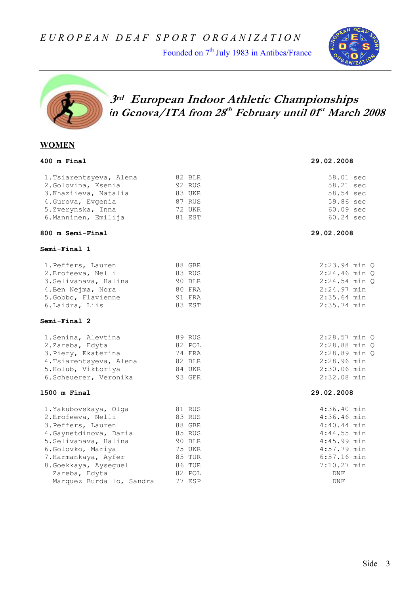Founded on 7<sup>th</sup> July 1983 in Antibes/France





## **3rd European Indoor Athletic Championships in Genova/ITA from 28th February until 01st March 2008**

#### **WOMEN**

| 400 m Final                                                                                                                                                                                                                            |                                                                                                  | 29.02.2008                                                                                                                                       |
|----------------------------------------------------------------------------------------------------------------------------------------------------------------------------------------------------------------------------------------|--------------------------------------------------------------------------------------------------|--------------------------------------------------------------------------------------------------------------------------------------------------|
| 1. Tsiarentsyeva, Alena<br>2. Golovina, Ksenia<br>3. Khaziieva, Natalia<br>4. Gurova, Evgenia<br>5.Zverynska, Inna<br>6. Manninen, Emilija                                                                                             | 82 BLR<br>92 RUS<br>83 UKR<br>87 RUS<br>72 UKR<br>81 EST                                         | 58.01 sec<br>58.21 sec<br>58.54 sec<br>59.86 sec<br>60.09 sec<br>60.24 sec                                                                       |
| 800 m Semi-Final                                                                                                                                                                                                                       |                                                                                                  | 29.02.2008                                                                                                                                       |
| Semi-Final 1                                                                                                                                                                                                                           |                                                                                                  |                                                                                                                                                  |
| 1. Peffers, Lauren<br>2. Erofeeva, Nelli<br>3. Selivanava, Halina<br>4. Ben Nejma, Nora<br>5.Gobbo, Flavienne<br>6. Laidra, Liis                                                                                                       | 88 GBR<br>83 RUS<br>90 BLR<br><b>80 FRA</b><br>91 FRA<br>83 EST                                  | $2:23.94$ min $Q$<br>2:24.46 min Q<br>$2:24.54$ min Q<br>$2:24.97$ min<br>$2:35.64$ min<br>2:35.74 min                                           |
| Semi-Final 2                                                                                                                                                                                                                           |                                                                                                  |                                                                                                                                                  |
| 1. Senina, Alevtina<br>2.Zareba, Edyta<br>3. Piery, Ekaterina<br>4. Tsiarentsyeva, Alena<br>5. Holub, Viktoriya<br>6. Scheuerer, Veronika                                                                                              | 89 RUS<br>82 POL<br>74 FRA<br>82 BLR<br>84 UKR<br>93 GER                                         | 2:28.57 min Q<br>$2:28.88$ min $O$<br>2:28.89 min Q<br>2:28.96 min<br>2:30.06 min<br>$2:32.08$ min                                               |
| 1500 m Final                                                                                                                                                                                                                           |                                                                                                  | 29.02.2008                                                                                                                                       |
| 1. Yakubovskaya, Olga<br>2. Erofeeva, Nelli<br>3. Peffers, Lauren<br>4. Gaynetdinova, Daria<br>5. Selivanava, Halina<br>6.Golovko, Mariya<br>7. Harmankaya, Ayfer<br>8.Goekkaya, Ayseguel<br>Zareba, Edyta<br>Marquez Burdallo, Sandra | 81 RUS<br>83 RUS<br>88 GBR<br>85 RUS<br>90 BLR<br>75 UKR<br>85 TUR<br>86 TUR<br>82 POL<br>77 ESP | $4:36.40$ min<br>$4:36.46$ min<br>$4:40.44$ min<br>$4:44.55$ min<br>$4:45.99$ min<br>$4:57.79$ min<br>$6:57.16$ min<br>7:10.27 min<br>DNF<br>DNF |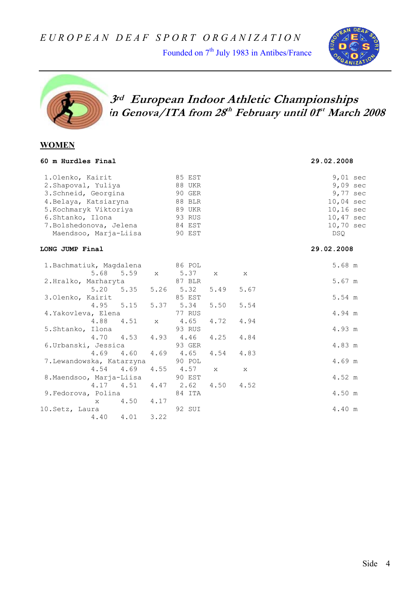Founded on 7<sup>th</sup> July 1983 in Antibes/France





 **3rd European Indoor Athletic Championships in Genova/ITA from 28th February until 01st March 2008** 

#### **WOMEN**

| 60 m Hurdles Final                                                                                                                                                                         |             |                                                                              |              |      | 29.02.2008                                                                                                                           |
|--------------------------------------------------------------------------------------------------------------------------------------------------------------------------------------------|-------------|------------------------------------------------------------------------------|--------------|------|--------------------------------------------------------------------------------------------------------------------------------------|
| 1.Olenko, Kairit<br>2. Shapoval, Yuliya<br>3. Schneid, Georgina<br>4. Belaya, Katsiaryna<br>5. Kochmaryk Viktoriya<br>6.Shtanko, Ilona<br>7. Bolshedonova, Jelena<br>Maendsoo, Marja-Liisa |             | 85 EST<br>88 UKR<br>90 GER<br>88 BLR<br>89 UKR<br>93 RUS<br>84 EST<br>90 EST |              |      | $9,01 \text{ sec}$<br>$9,09 \text{ sec}$<br>9,77 sec<br>$10,04 \text{ sec}$<br>$10, 16 \text{ sec}$<br>10,47 sec<br>10,70 sec<br>DSO |
| LONG JUMP Final                                                                                                                                                                            |             |                                                                              |              |      | 29.02.2008                                                                                                                           |
| 1. Bachmatiuk, Magdalena<br>5.68 5.59                                                                                                                                                      |             | 86 POL<br>x 5.37                                                             | $\mathbf{x}$ | X    | 5.68 m                                                                                                                               |
| 2.Hralko, Marharyta<br>5.20 5.35 5.26 5.32                                                                                                                                                 |             | 87 BLR                                                                       | 5.49         | 5.67 | 5.67 m                                                                                                                               |
| 3.Olenko, Kairit                                                                                                                                                                           |             | 85 EST                                                                       |              |      | 5.54 m                                                                                                                               |
| 4.95 5.15<br>4.Yakovleva, Elena                                                                                                                                                            |             | 5.37 5.34<br>77 RUS                                                          | 5.50         | 5.54 | 4.94 m                                                                                                                               |
| 4.88 4.51<br>5.Shtanko, Ilona                                                                                                                                                              | $\mathbf X$ | 4.65<br>93 RUS                                                               | 4.72         | 4.94 | 4.93 m                                                                                                                               |
| 4.70 4.53<br>6. Urbanski, Jessica                                                                                                                                                          |             | $4.93$ $4.46$<br>93 GER                                                      | 4.25         | 4.84 | 4.83 m                                                                                                                               |
| $4.69$ $4.60$<br>7.Lewandowska, Katarzyna                                                                                                                                                  |             | $4.69$ $4.65$<br>90 POL                                                      | 4.54         | 4.83 | $4.69$ m                                                                                                                             |
| $4.54$ $4.69$<br>8. Maendsoo, Marja-Liisa                                                                                                                                                  |             | $4.55$ $4.57$<br>90 EST                                                      | $\mathbf{x}$ | X    | 4.52 m                                                                                                                               |
| $4.17$ $4.51$ $4.47$ $2.62$<br>9. Fedorova, Polina                                                                                                                                         |             | 84 ITA                                                                       | 4.50         | 4.52 | 4.50 m                                                                                                                               |
| $\mathbf{x}$                                                                                                                                                                               | 4.50 4.17   |                                                                              |              |      |                                                                                                                                      |
| 10. Setz, Laura                                                                                                                                                                            |             | 92 SUI                                                                       |              |      | 4.40 m                                                                                                                               |
| 4.01<br>4.40                                                                                                                                                                               | 3.22        |                                                                              |              |      |                                                                                                                                      |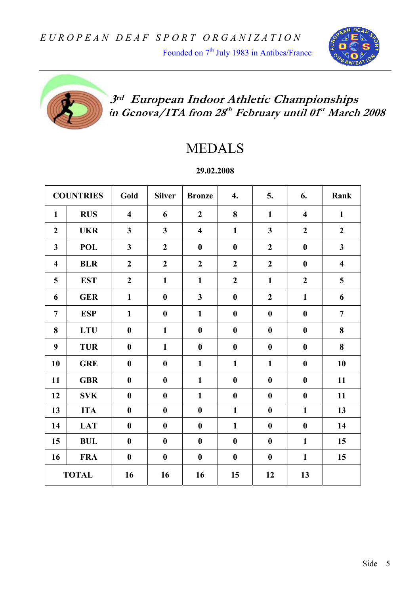Founded on 7<sup>th</sup> July 1983 in Antibes/France





## **3rd European Indoor Athletic Championships in Genova/ITA from 28th February until 01st March 2008**

# MEDALS

**29.02.2008** 

|                         | <b>COUNTRIES</b> | Gold                    | <b>Silver</b>    | <b>Bronze</b>           | 4.               | 5.               | 6.                      | Rank                    |
|-------------------------|------------------|-------------------------|------------------|-------------------------|------------------|------------------|-------------------------|-------------------------|
| $\mathbf{1}$            | <b>RUS</b>       | $\overline{\mathbf{4}}$ | 6                | $\overline{2}$          | 8                | $\mathbf{1}$     | $\overline{\mathbf{4}}$ | $\mathbf{1}$            |
| $\boldsymbol{2}$        | <b>UKR</b>       | $\overline{\mathbf{3}}$ | 3                | $\overline{\mathbf{4}}$ | $\mathbf{1}$     | $\mathbf{3}$     | $\overline{2}$          | $\boldsymbol{2}$        |
| 3                       | <b>POL</b>       | 3                       | $\overline{2}$   | $\boldsymbol{0}$        | $\boldsymbol{0}$ | $\boldsymbol{2}$ | $\boldsymbol{0}$        | $\mathbf{3}$            |
| $\overline{\mathbf{4}}$ | <b>BLR</b>       | $\boldsymbol{2}$        | $\overline{2}$   | $\overline{2}$          | $\boldsymbol{2}$ | $\boldsymbol{2}$ | $\boldsymbol{0}$        | $\overline{\mathbf{4}}$ |
| 5                       | <b>EST</b>       | $\overline{2}$          | $\mathbf{1}$     | $\mathbf{1}$            | $\overline{2}$   | $\mathbf{1}$     | $\overline{2}$          | 5                       |
| 6                       | <b>GER</b>       | $\mathbf{1}$            | $\boldsymbol{0}$ | $\mathbf{3}$            | $\boldsymbol{0}$ | $\boldsymbol{2}$ | $\mathbf{1}$            | 6                       |
| $\overline{7}$          | <b>ESP</b>       | $\mathbf{1}$            | $\boldsymbol{0}$ | $\mathbf{1}$            | $\boldsymbol{0}$ | $\boldsymbol{0}$ | $\boldsymbol{0}$        | $\overline{7}$          |
| 8                       | <b>LTU</b>       | $\boldsymbol{0}$        | $\mathbf{1}$     | $\boldsymbol{0}$        | $\boldsymbol{0}$ | $\boldsymbol{0}$ | $\boldsymbol{0}$        | 8                       |
| 9                       | <b>TUR</b>       | $\boldsymbol{0}$        | $\mathbf{1}$     | $\boldsymbol{0}$        | $\boldsymbol{0}$ | $\boldsymbol{0}$ | $\bf{0}$                | 8                       |
| 10                      | <b>GRE</b>       | $\bf{0}$                | $\boldsymbol{0}$ | $\mathbf{1}$            | $\mathbf{1}$     | $\mathbf{1}$     | $\bf{0}$                | 10                      |
| 11                      | <b>GBR</b>       | $\bf{0}$                | $\boldsymbol{0}$ | $\mathbf{1}$            | $\boldsymbol{0}$ | $\bf{0}$         | $\bf{0}$                | 11                      |
| 12                      | <b>SVK</b>       | $\bf{0}$                | $\bf{0}$         | $\mathbf{1}$            | $\bf{0}$         | $\boldsymbol{0}$ | $\bf{0}$                | 11                      |
| 13                      | <b>ITA</b>       | $\bf{0}$                | $\boldsymbol{0}$ | $\bf{0}$                | $\mathbf{1}$     | $\bf{0}$         | $\mathbf{1}$            | 13                      |
| 14                      | <b>LAT</b>       | $\boldsymbol{0}$        | $\boldsymbol{0}$ | $\boldsymbol{0}$        | $\mathbf{1}$     | $\boldsymbol{0}$ | $\boldsymbol{0}$        | 14                      |
| 15                      | <b>BUL</b>       | $\boldsymbol{0}$        | $\boldsymbol{0}$ | $\boldsymbol{0}$        | $\boldsymbol{0}$ | $\boldsymbol{0}$ | $\mathbf{1}$            | 15                      |
| 16                      | <b>FRA</b>       | $\boldsymbol{0}$        | $\boldsymbol{0}$ | $\boldsymbol{0}$        | $\boldsymbol{0}$ | $\boldsymbol{0}$ | $\mathbf{1}$            | 15                      |
|                         | <b>TOTAL</b>     | 16                      | 16               | 16                      | 15               | 12               | 13                      |                         |